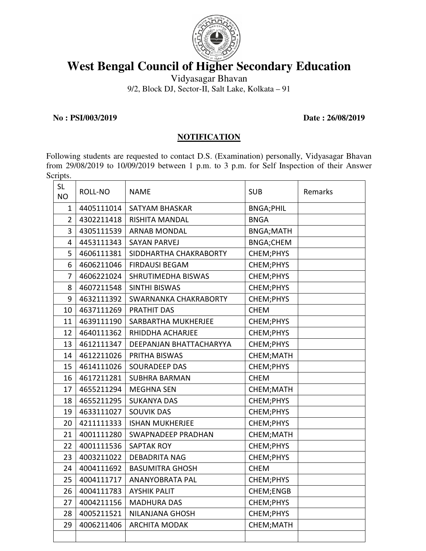

## **West Bengal Council of Higher Secondary Education**

Vidyasagar Bhavan

9/2, Block DJ, Sector-II, Salt Lake, Kolkata – 91

**No : PSI/003/2019 Date : 26/08/2019** 

## **NOTIFICATION**

Following students are requested to contact D.S. (Examination) personally, Vidyasagar Bhavan from 29/08/2019 to 10/09/2019 between 1 p.m. to 3 p.m. for Self Inspection of their Answer Scripts.

| <b>SL</b><br><b>NO</b> | ROLL-NO    | <b>NAME</b>               | <b>SUB</b>       | Remarks |
|------------------------|------------|---------------------------|------------------|---------|
| $\mathbf{1}$           | 4405111014 | <b>SATYAM BHASKAR</b>     | <b>BNGA;PHIL</b> |         |
| $\overline{2}$         | 4302211418 | <b>RISHITA MANDAL</b>     | <b>BNGA</b>      |         |
| 3                      | 4305111539 | <b>ARNAB MONDAL</b>       | <b>BNGA;MATH</b> |         |
| $\overline{4}$         | 4453111343 | <b>SAYAN PARVEJ</b>       | <b>BNGA;CHEM</b> |         |
| 5                      | 4606111381 | SIDDHARTHA CHAKRABORTY    | CHEM; PHYS       |         |
| 6                      | 4606211046 | <b>FIRDAUSI BEGAM</b>     | CHEM; PHYS       |         |
| $\overline{7}$         | 4606221024 | SHRUTIMEDHA BISWAS        | CHEM; PHYS       |         |
| 8                      | 4607211548 | SINTHI BISWAS             | CHEM; PHYS       |         |
| 9                      | 4632111392 | SWARNANKA CHAKRABORTY     | CHEM; PHYS       |         |
| 10                     | 4637111269 | <b>PRATHIT DAS</b>        | <b>CHEM</b>      |         |
| 11                     | 4639111190 | SARBARTHA MUKHERJEE       | CHEM; PHYS       |         |
| 12                     | 4640111362 | RHIDDHA ACHARJEE          | CHEM; PHYS       |         |
| 13                     | 4612111347 | DEEPANJAN BHATTACHARYYA   | CHEM; PHYS       |         |
| 14                     | 4612211026 | PRITHA BISWAS             | CHEM; MATH       |         |
| 15                     | 4614111026 | <b>SOURADEEP DAS</b>      | CHEM; PHYS       |         |
| 16                     | 4617211281 | <b>SUBHRA BARMAN</b>      | <b>CHEM</b>      |         |
| 17                     | 4655211294 | <b>MEGHNA SEN</b>         | CHEM;MATH        |         |
| 18                     | 4655211295 | <b>SUKANYA DAS</b>        | CHEM; PHYS       |         |
| 19                     | 4633111027 | <b>SOUVIK DAS</b>         | CHEM; PHYS       |         |
| 20                     | 4211111333 | <b>ISHAN MUKHERJEE</b>    | CHEM; PHYS       |         |
| 21                     | 4001111280 | <b>SWAPNADEEP PRADHAN</b> | CHEM; MATH       |         |
| 22                     | 4001111536 | <b>SAPTAK ROY</b>         | CHEM; PHYS       |         |
| 23                     | 4003211022 | <b>DEBADRITA NAG</b>      | CHEM; PHYS       |         |
| 24                     | 4004111692 | <b>BASUMITRA GHOSH</b>    | <b>CHEM</b>      |         |
| 25                     | 4004111717 | ANANYOBRATA PAL           | CHEM; PHYS       |         |
| 26                     | 4004111783 | <b>AYSHIK PALIT</b>       | CHEM;ENGB        |         |
| 27                     | 4004211156 | <b>MADHURA DAS</b>        | CHEM; PHYS       |         |
| 28                     | 4005211521 | <b>NILANJANA GHOSH</b>    | CHEM;PHYS        |         |
| 29                     | 4006211406 | <b>ARCHITA MODAK</b>      | CHEM; MATH       |         |
|                        |            |                           |                  |         |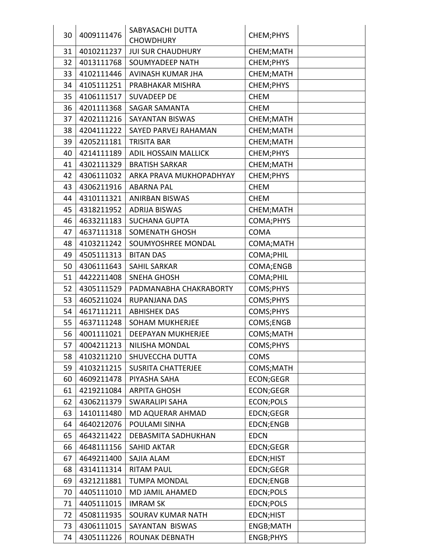|    |            | SABYASACHI DUTTA            |             |  |
|----|------------|-----------------------------|-------------|--|
| 30 | 4009111476 | <b>CHOWDHURY</b>            | CHEM; PHYS  |  |
| 31 | 4010211237 | <b>JUI SUR CHAUDHURY</b>    | CHEM; MATH  |  |
| 32 | 4013111768 | <b>SOUMYADEEP NATH</b>      | CHEM; PHYS  |  |
| 33 | 4102111446 | AVINASH KUMAR JHA           | CHEM; MATH  |  |
| 34 | 4105111251 | PRABHAKAR MISHRA            | CHEM; PHYS  |  |
| 35 | 4106111517 | <b>SUVADEEP DE</b>          | <b>CHEM</b> |  |
| 36 | 4201111368 | <b>SAGAR SAMANTA</b>        | <b>CHEM</b> |  |
| 37 | 4202111216 | <b>SAYANTAN BISWAS</b>      | CHEM; MATH  |  |
| 38 | 4204111222 | SAYED PARVEJ RAHAMAN        | CHEM;MATH   |  |
| 39 | 4205211181 | <b>TRISITA BAR</b>          | CHEM; MATH  |  |
| 40 | 4214111189 | <b>ADIL HOSSAIN MALLICK</b> | CHEM;PHYS   |  |
| 41 | 4302111329 | <b>BRATISH SARKAR</b>       | CHEM; MATH  |  |
| 42 | 4306111032 | ARKA PRAVA MUKHOPADHYAY     | CHEM; PHYS  |  |
| 43 | 4306211916 | <b>ABARNA PAL</b>           | <b>CHEM</b> |  |
| 44 | 4310111321 | <b>ANIRBAN BISWAS</b>       | <b>CHEM</b> |  |
| 45 | 4318211952 | <b>ADRIJA BISWAS</b>        | CHEM; MATH  |  |
| 46 | 4633211183 | <b>SUCHANA GUPTA</b>        | COMA;PHYS   |  |
| 47 | 4637111318 | <b>SOMENATH GHOSH</b>       | <b>COMA</b> |  |
| 48 | 4103211242 | SOUMYOSHREE MONDAL          | COMA; MATH  |  |
| 49 | 4505111313 | <b>BITAN DAS</b>            | COMA; PHIL  |  |
| 50 | 4306111643 | <b>SAHIL SARKAR</b>         | COMA;ENGB   |  |
| 51 | 4422211408 | <b>SNEHA GHOSH</b>          | COMA; PHIL  |  |
| 52 | 4305111529 | PADMANABHA CHAKRABORTY      | COMS;PHYS   |  |
| 53 | 4605211024 | RUPANJANA DAS               | COMS;PHYS   |  |
| 54 | 4617111211 | <b>ABHISHEK DAS</b>         | COMS;PHYS   |  |
| 55 | 4637111248 | <b>SOHAM MUKHERJEE</b>      | COMS;ENGB   |  |
| 56 | 4001111021 | DEEPAYAN MUKHERJEE          | COMS;MATH   |  |
| 57 | 4004211213 | <b>NILISHA MONDAL</b>       | COMS;PHYS   |  |
| 58 | 4103211210 | SHUVECCHA DUTTA             | <b>COMS</b> |  |
| 59 | 4103211215 | <b>SUSRITA CHATTERJEE</b>   | COMS; MATH  |  |
| 60 | 4609211478 | PIYASHA SAHA                | ECON;GEGR   |  |
| 61 | 4219211084 | <b>ARPITA GHOSH</b>         | ECON;GEGR   |  |
| 62 | 4306211379 | <b>SWARALIPI SAHA</b>       | ECON; POLS  |  |
| 63 | 1410111480 | MD AQUERAR AHMAD            | EDCN;GEGR   |  |
| 64 | 4640212076 | POULAMI SINHA               | EDCN;ENGB   |  |
| 65 | 4643211422 | DEBASMITA SADHUKHAN         | <b>EDCN</b> |  |
| 66 | 4648111156 | <b>SAHID AKTAR</b>          | EDCN;GEGR   |  |
| 67 | 4649211400 | SAJIA ALAM                  | EDCN;HIST   |  |
| 68 | 4314111314 | <b>RITAM PAUL</b>           | EDCN;GEGR   |  |
| 69 | 4321211881 | <b>TUMPA MONDAL</b>         | EDCN;ENGB   |  |
| 70 | 4405111010 | MD JAMIL AHAMED             | EDCN;POLS   |  |
| 71 | 4405111015 | <b>IMRAM SK</b>             | EDCN;POLS   |  |
| 72 | 4508111935 | <b>SOURAV KUMAR NATH</b>    | EDCN;HIST   |  |
| 73 | 4306111015 | SAYANTAN BISWAS             | ENGB;MATH   |  |
| 74 | 4305111226 | ROUNAK DEBNATH              | ENGB;PHYS   |  |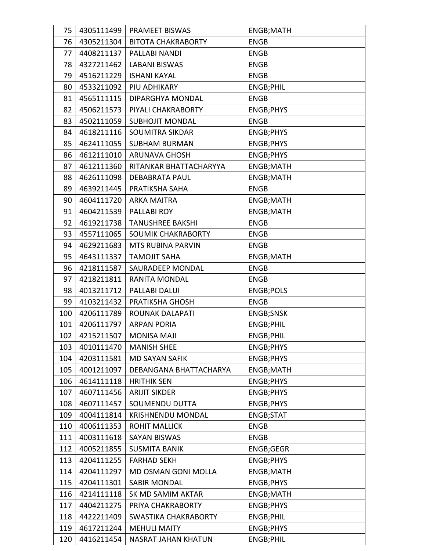| 75       |                          | 4305111499   PRAMEET BISWAS | ENGB;MATH        |  |
|----------|--------------------------|-----------------------------|------------------|--|
| 76<br>77 | 4305211304               | <b>BITOTA CHAKRABORTY</b>   | <b>ENGB</b>      |  |
|          | 4408211137<br>4327211462 | PALLABI NANDI               | <b>ENGB</b>      |  |
| 78       |                          | <b>LABANI BISWAS</b>        | <b>ENGB</b>      |  |
| 79       | 4516211229               | <b>ISHANI KAYAL</b>         | <b>ENGB</b>      |  |
| 80       | 4533211092               | PIU ADHIKARY                | <b>ENGB;PHIL</b> |  |
| 81       | 4565111115               | <b>DIPARGHYA MONDAL</b>     | <b>ENGB</b>      |  |
| 82       | 4506211573               | PIYALI CHAKRABORTY          | <b>ENGB;PHYS</b> |  |
| 83<br>84 | 4502111059<br>4618211116 | <b>SUBHOJIT MONDAL</b>      | <b>ENGB</b>      |  |
|          |                          | <b>SOUMITRA SIKDAR</b>      | <b>ENGB;PHYS</b> |  |
| 85       | 4624111055               | <b>SUBHAM BURMAN</b>        | ENGB;PHYS        |  |
| 86       | 4612111010               | <b>ARUNAVA GHOSH</b>        | <b>ENGB;PHYS</b> |  |
| 87       | 4612111360               | RITANKAR BHATTACHARYYA      | ENGB;MATH        |  |
| 88       | 4626111098               | <b>DEBABRATA PAUL</b>       | ENGB;MATH        |  |
| 89       | 4639211445               | PRATIKSHA SAHA              | <b>ENGB</b>      |  |
| 90       | 4604111720               | <b>ARKA MAITRA</b>          | ENGB;MATH        |  |
| 91       | 4604211539               | <b>PALLABI ROY</b>          | <b>ENGB;MATH</b> |  |
| 92       | 4619211738               | <b>TANUSHREE BAKSHI</b>     | <b>ENGB</b>      |  |
| 93       | 4557111065               | <b>SOUMIK CHAKRABORTY</b>   | <b>ENGB</b>      |  |
| 94       | 4629211683               | <b>MTS RUBINA PARVIN</b>    | <b>ENGB</b>      |  |
| 95       | 4643111337               | <b>TAMOJIT SAHA</b>         | ENGB;MATH        |  |
| 96       | 4218111587               | SAURADEEP MONDAL            | <b>ENGB</b>      |  |
| 97       | 4218211811               | <b>RANITA MONDAL</b>        | <b>ENGB</b>      |  |
| 98       | 4013211712               | PALLABI DALUI               | <b>ENGB;POLS</b> |  |
| 99       | 4103211432               | PRATIKSHA GHOSH             | <b>ENGB</b>      |  |
| 100      | 4206111789               | <b>ROUNAK DALAPATI</b>      | <b>ENGB;SNSK</b> |  |
| 101      | 4206111797               | <b>ARPAN PORIA</b>          | <b>ENGB;PHIL</b> |  |
| 102      | 4215211507               | <b>MONISA MAJI</b>          | ENGB;PHIL        |  |
| 103      | 4010111470               | <b>MANISH SHEE</b>          | <b>ENGB;PHYS</b> |  |
| 104      | 4203111581               | <b>MD SAYAN SAFIK</b>       | ENGB;PHYS        |  |
| 105      | 4001211097               | DEBANGANA BHATTACHARYA      | ENGB;MATH        |  |
| 106      | 4614111118               | <b>HRITHIK SEN</b>          | <b>ENGB;PHYS</b> |  |
| 107      | 4607111456               | <b>ARIJIT SIKDER</b>        | ENGB;PHYS        |  |
| 108      | 4607111457               | <b>SOUMENDU DUTTA</b>       | ENGB;PHYS        |  |
| 109      | 4004111814               | <b>KRISHNENDU MONDAL</b>    | ENGB;STAT        |  |
| 110      | 4006111353               | ROHIT MALLICK               | <b>ENGB</b>      |  |
| 111      | 4003111618               | <b>SAYAN BISWAS</b>         | <b>ENGB</b>      |  |
| 112      | 4005211855               | <b>SUSMITA BANIK</b>        | ENGB;GEGR        |  |
| 113      | 4204111255               | <b>FARHAD SEKH</b>          | ENGB;PHYS        |  |
| 114      | 4204111297               | MD OSMAN GONI MOLLA         | ENGB;MATH        |  |
| 115      | 4204111301               | <b>SABIR MONDAL</b>         | ENGB;PHYS        |  |
| 116      | 4214111118               | SK MD SAMIM AKTAR           | ENGB;MATH        |  |
| 117      | 4404211275               | PRIYA CHAKRABORTY           |                  |  |
|          |                          |                             | <b>ENGB;PHYS</b> |  |
| 118      | 4422211409               | <b>SWASTIKA CHAKRABORTY</b> | ENGB;PHIL        |  |
| 119      | 4617211244               | <b>MEHULI MAITY</b>         | ENGB;PHYS        |  |
| 120      | 4416211454               | NASRAT JAHAN KHATUN         | ENGB;PHIL        |  |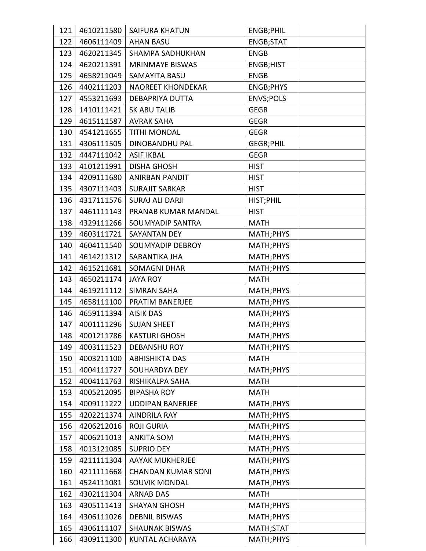| 121 | 4610211580 | <b>SAIFURA KHATUN</b>     | ENGB;PHIL        |
|-----|------------|---------------------------|------------------|
| 122 | 4606111409 | <b>AHAN BASU</b>          | ENGB;STAT        |
| 123 | 4620211345 | <b>SHAMPA SADHUKHAN</b>   | <b>ENGB</b>      |
| 124 | 4620211391 | <b>MRINMAYE BISWAS</b>    | ENGB;HIST        |
| 125 | 4658211049 | <b>SAMAYITA BASU</b>      | <b>ENGB</b>      |
| 126 | 4402111203 | <b>NAOREET KHONDEKAR</b>  | ENGB;PHYS        |
| 127 | 4553211693 | <b>DEBAPRIYA DUTTA</b>    | <b>ENVS;POLS</b> |
| 128 | 1410111421 | <b>SK ABU TALIB</b>       | <b>GEGR</b>      |
| 129 | 4615111587 | <b>AVRAK SAHA</b>         | <b>GEGR</b>      |
| 130 | 4541211655 | <b>TITHI MONDAL</b>       | <b>GEGR</b>      |
| 131 | 4306111505 | <b>DINOBANDHU PAL</b>     | <b>GEGR;PHIL</b> |
| 132 | 4447111042 | <b>ASIF IKBAL</b>         | <b>GEGR</b>      |
| 133 | 4101211991 | <b>DISHA GHOSH</b>        | <b>HIST</b>      |
| 134 | 4209111680 | ANIRBAN PANDIT            | <b>HIST</b>      |
| 135 | 4307111403 | <b>SURAJIT SARKAR</b>     | <b>HIST</b>      |
| 136 | 4317111576 | <b>SURAJ ALI DARJI</b>    | HIST; PHIL       |
| 137 | 4461111143 | PRANAB KUMAR MANDAL       | <b>HIST</b>      |
| 138 | 4329111266 | SOUMYADIP SANTRA          | <b>MATH</b>      |
| 139 | 4603111721 | <b>SAYANTAN DEY</b>       | MATH; PHYS       |
| 140 | 4604111540 | <b>SOUMYADIP DEBROY</b>   | MATH;PHYS        |
| 141 | 4614211312 | SABANTIKA JHA             | MATH; PHYS       |
| 142 | 4615211681 | <b>SOMAGNI DHAR</b>       | MATH; PHYS       |
| 143 | 4650211174 | <b>JAYA ROY</b>           | <b>MATH</b>      |
| 144 | 4619211112 | <b>SIMRAN SAHA</b>        | MATH; PHYS       |
| 145 | 4658111100 | PRATIM BANERJEE           | MATH; PHYS       |
| 146 | 4659111394 | <b>AISIK DAS</b>          | MATH; PHYS       |
| 147 | 4001111296 | <b>SUJAN SHEET</b>        | MATH; PHYS       |
| 148 | 4001211786 | <b>KASTURI GHOSH</b>      | MATH; PHYS       |
| 149 | 4003111523 | <b>DEBANSHU ROY</b>       | MATH; PHYS       |
| 150 | 4003211100 | <b>ABHISHIKTA DAS</b>     | <b>MATH</b>      |
| 151 | 4004111727 | <b>SOUHARDYA DEY</b>      | MATH; PHYS       |
| 152 | 4004111763 | RISHIKALPA SAHA           | <b>MATH</b>      |
| 153 | 4005212095 | <b>BIPASHA ROY</b>        | <b>MATH</b>      |
| 154 | 4009111222 | <b>UDDIPAN BANERJEE</b>   | MATH; PHYS       |
| 155 | 4202211374 | <b>AINDRILA RAY</b>       | MATH; PHYS       |
| 156 | 4206212016 | <b>ROJI GURIA</b>         | MATH; PHYS       |
| 157 | 4006211013 | <b>ANKITA SOM</b>         | MATH; PHYS       |
| 158 | 4013121085 | <b>SUPRIO DEY</b>         | MATH; PHYS       |
| 159 | 4211111304 | <b>AAYAK MUKHERJEE</b>    | MATH; PHYS       |
| 160 | 4211111668 | <b>CHANDAN KUMAR SONI</b> | MATH; PHYS       |
| 161 | 4524111081 | <b>SOUVIK MONDAL</b>      | MATH; PHYS       |
| 162 | 4302111304 | <b>ARNAB DAS</b>          | <b>MATH</b>      |
| 163 | 4305111413 | <b>SHAYAN GHOSH</b>       | MATH; PHYS       |
| 164 | 4306111026 | <b>DEBNIL BISWAS</b>      | MATH; PHYS       |
| 165 | 4306111107 | <b>SHAUNAK BISWAS</b>     | MATH;STAT        |
| 166 | 4309111300 | KUNTAL ACHARAYA           | MATH; PHYS       |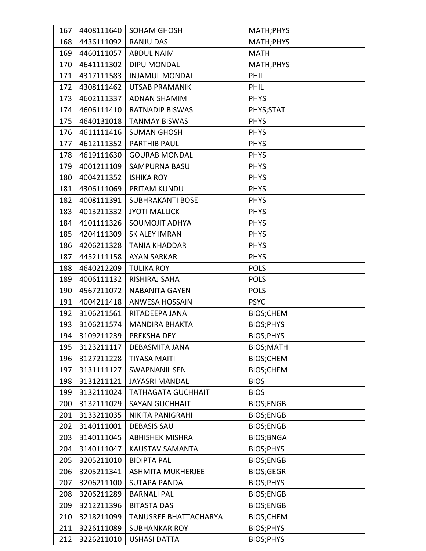| 167        | 4408111640               |                                        |                          |  |
|------------|--------------------------|----------------------------------------|--------------------------|--|
|            |                          | <b>SOHAM GHOSH</b><br><b>RANJU DAS</b> | MATH; PHYS               |  |
| 168<br>169 | 4436111092<br>4460111057 | <b>ABDUL NAIM</b>                      | MATH;PHYS<br><b>MATH</b> |  |
|            | 4641111302               |                                        |                          |  |
| 170        |                          | <b>DIPU MONDAL</b>                     | MATH; PHYS               |  |
| 171        | 4317111583               | <b>INJAMUL MONDAL</b>                  | <b>PHIL</b>              |  |
| 172        | 4308111462               | <b>UTSAB PRAMANIK</b>                  | PHIL                     |  |
| 173        | 4602111337               | <b>ADNAN SHAMIM</b>                    | <b>PHYS</b>              |  |
| 174        | 4606111410               | <b>RATNADIP BISWAS</b>                 | PHYS;STAT                |  |
| 175        | 4640131018               | <b>TANMAY BISWAS</b>                   | <b>PHYS</b>              |  |
| 176        | 4611111416               | <b>SUMAN GHOSH</b>                     | <b>PHYS</b>              |  |
| 177        | 4612111352               | <b>PARTHIB PAUL</b>                    | <b>PHYS</b>              |  |
| 178        | 4619111630               | <b>GOURAB MONDAL</b>                   | <b>PHYS</b>              |  |
| 179        | 4001211109               | <b>SAMPURNA BASU</b>                   | <b>PHYS</b>              |  |
| 180        | 4004211352               | <b>ISHIKA ROY</b>                      | <b>PHYS</b>              |  |
| 181        | 4306111069               | PRITAM KUNDU                           | <b>PHYS</b>              |  |
| 182        | 4008111391               | <b>SUBHRAKANTI BOSE</b>                | <b>PHYS</b>              |  |
| 183        | 4013211332               | <b>JYOTI MALLICK</b>                   | <b>PHYS</b>              |  |
| 184        | 4101111326               | SOUMOJIT ADHYA                         | <b>PHYS</b>              |  |
| 185        | 4204111309               | <b>SK ALEY IMRAN</b>                   | <b>PHYS</b>              |  |
| 186        | 4206211328               | <b>TANIA KHADDAR</b>                   | <b>PHYS</b>              |  |
| 187        | 4452111158               | <b>AYAN SARKAR</b>                     | <b>PHYS</b>              |  |
| 188        | 4640212209               | <b>TULIKA ROY</b>                      | <b>POLS</b>              |  |
| 189        | 4006111132               | RISHIRAJ SAHA                          | <b>POLS</b>              |  |
| 190        | 4567211072               | <b>NABANITA GAYEN</b>                  | <b>POLS</b>              |  |
| 191        | 4004211418               | <b>ANWESA HOSSAIN</b>                  | <b>PSYC</b>              |  |
| 192        | 3106211561               | RITADEEPA JANA                         | BIOS;CHEM                |  |
| 193        | 3106211574               | <b>MANDIRA BHAKTA</b>                  | <b>BIOS;PHYS</b>         |  |
| 194        | 3109211239               | PREKSHA DEY                            | BIOS; PHYS               |  |
| 195        | 3123211117               | DEBASMITA JANA                         | <b>BIOS;MATH</b>         |  |
| 196        | 3127211228               | <b>TIYASA MAITI</b>                    | <b>BIOS;CHEM</b>         |  |
| 197        | 3131111127               | <b>SWAPNANIL SEN</b>                   | BIOS;CHEM                |  |
| 198        | 3131211121               | <b>JAYASRI MANDAL</b>                  | <b>BIOS</b>              |  |
| 199        | 3132111024               | <b>TATHAGATA GUCHHAIT</b>              | <b>BIOS</b>              |  |
| 200        | 3132111029               | <b>SAYAN GUCHHAIT</b>                  | <b>BIOS;ENGB</b>         |  |
| 201        | 3133211035               | NIKITA PANIGRAHI                       | <b>BIOS;ENGB</b>         |  |
| 202        | 3140111001               | <b>DEBASIS SAU</b>                     | <b>BIOS;ENGB</b>         |  |
| 203        | 3140111045               | <b>ABHISHEK MISHRA</b>                 | <b>BIOS;BNGA</b>         |  |
| 204        | 3140111047               | <b>KAUSTAV SAMANTA</b>                 | <b>BIOS;PHYS</b>         |  |
| 205        | 3205211010               | <b>BIDIPTA PAL</b>                     | <b>BIOS;ENGB</b>         |  |
| 206        | 3205211341               | <b>ASHMITA MUKHERJEE</b>               | <b>BIOS;GEGR</b>         |  |
| 207        | 3206211100               | <b>SUTAPA PANDA</b>                    | BIOS; PHYS               |  |
| 208        | 3206211289               | <b>BARNALI PAL</b>                     | <b>BIOS;ENGB</b>         |  |
| 209        | 3212211396               | <b>BITASTA DAS</b>                     | <b>BIOS;ENGB</b>         |  |
| 210        | 3218211099               | <b>TANUSREE BHATTACHARYA</b>           | <b>BIOS;CHEM</b>         |  |
| 211        | 3226111089               | <b>SUBHANKAR ROY</b>                   | <b>BIOS;PHYS</b>         |  |
| 212        | 3226211010               | <b>USHASI DATTA</b>                    | <b>BIOS;PHYS</b>         |  |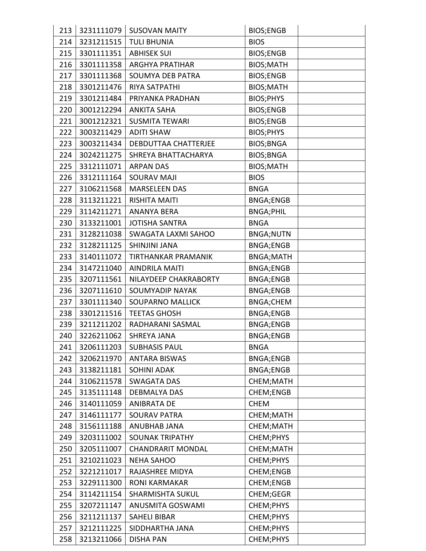| 213 | 3231111079 | <b>SUSOVAN MAITY</b>       | <b>BIOS;ENGB</b>  |  |
|-----|------------|----------------------------|-------------------|--|
| 214 | 3231211515 | <b>TULI BHUNIA</b>         | <b>BIOS</b>       |  |
| 215 | 3301111351 | <b>ABHISEK SUI</b>         | <b>BIOS;ENGB</b>  |  |
| 216 | 3301111358 | <b>ARGHYA PRATIHAR</b>     | <b>BIOS;MATH</b>  |  |
| 217 | 3301111368 | <b>SOUMYA DEB PATRA</b>    | <b>BIOS;ENGB</b>  |  |
| 218 | 3301211476 | RIYA SATPATHI              | <b>BIOS;MATH</b>  |  |
| 219 | 3301211484 | PRIYANKA PRADHAN           | <b>BIOS;PHYS</b>  |  |
| 220 | 3001212294 | <b>ANKITA SAHA</b>         | <b>BIOS;ENGB</b>  |  |
| 221 | 3001212321 | <b>SUSMITA TEWARI</b>      | <b>BIOS;ENGB</b>  |  |
| 222 | 3003211429 | <b>ADITI SHAW</b>          | <b>BIOS;PHYS</b>  |  |
| 223 | 3003211434 | DEBDUTTAA CHATTERJEE       | <b>BIOS; BNGA</b> |  |
| 224 | 3024211275 | SHREYA BHATTACHARYA        | <b>BIOS;BNGA</b>  |  |
| 225 | 3312111071 | <b>ARPAN DAS</b>           | <b>BIOS;MATH</b>  |  |
| 226 | 3312111164 | <b>SOURAV MAJI</b>         | <b>BIOS</b>       |  |
| 227 | 3106211568 | <b>MARSELEEN DAS</b>       | <b>BNGA</b>       |  |
| 228 | 3113211221 | <b>RISHITA MAITI</b>       | <b>BNGA;ENGB</b>  |  |
| 229 | 3114211271 | <b>ANANYA BERA</b>         | <b>BNGA;PHIL</b>  |  |
| 230 | 3133211001 | <b>JOTISHA SANTRA</b>      | <b>BNGA</b>       |  |
| 231 | 3128211038 | <b>SWAGATA LAXMI SAHOO</b> | <b>BNGA;NUTN</b>  |  |
| 232 | 3128211125 | <b>SHINJINI JANA</b>       | <b>BNGA;ENGB</b>  |  |
| 233 | 3140111072 | TIRTHANKAR PRAMANIK        | <b>BNGA;MATH</b>  |  |
| 234 | 3147211040 | <b>AINDRILA MAITI</b>      | <b>BNGA;ENGB</b>  |  |
| 235 | 3207111561 | NILAYDEEP CHAKRABORTY      | <b>BNGA;ENGB</b>  |  |
| 236 | 3207111610 | <b>SOUMYADIP NAYAK</b>     | <b>BNGA;ENGB</b>  |  |
| 237 | 3301111340 | <b>SOUPARNO MALLICK</b>    | <b>BNGA;CHEM</b>  |  |
| 238 | 3301211516 | <b>TEETAS GHOSH</b>        | <b>BNGA;ENGB</b>  |  |
| 239 | 3211211202 | RADHARANI SASMAL           | <b>BNGA;ENGB</b>  |  |
| 240 | 3226211062 | <b>SHREYA JANA</b>         | <b>BNGA;ENGB</b>  |  |
| 241 | 3206111203 | <b>SUBHASIS PAUL</b>       | <b>BNGA</b>       |  |
| 242 | 3206211970 | <b>ANTARA BISWAS</b>       | <b>BNGA;ENGB</b>  |  |
| 243 | 3138211181 | <b>SOHINI ADAK</b>         | <b>BNGA;ENGB</b>  |  |
| 244 | 3106211578 | <b>SWAGATA DAS</b>         | CHEM; MATH        |  |
| 245 | 3135111148 | <b>DEBMALYA DAS</b>        | CHEM;ENGB         |  |
| 246 | 3140111059 | <b>ANIBRATA DE</b>         | <b>CHEM</b>       |  |
| 247 | 3146111177 | <b>SOURAV PATRA</b>        | CHEM; MATH        |  |
| 248 | 3156111188 | ANUBHAB JANA               | CHEM; MATH        |  |
| 249 | 3203111002 | <b>SOUNAK TRIPATHY</b>     | CHEM;PHYS         |  |
| 250 | 3205111007 | <b>CHANDRARIT MONDAL</b>   | CHEM; MATH        |  |
| 251 | 3210211023 | <b>NEHA SAHOO</b>          | CHEM;PHYS         |  |
| 252 | 3221211017 | RAJASHREE MIDYA            | CHEM;ENGB         |  |
| 253 | 3229111300 | <b>RONI KARMAKAR</b>       | CHEM;ENGB         |  |
| 254 | 3114211154 | <b>SHARMISHTA SUKUL</b>    | CHEM;GEGR         |  |
| 255 | 3207211147 | <b>ANUSMITA GOSWAMI</b>    | CHEM;PHYS         |  |
| 256 | 3211211137 | <b>SAHELI BIBAR</b>        | CHEM; PHYS        |  |
| 257 | 3212111225 | SIDDHARTHA JANA            | CHEM;PHYS         |  |
| 258 | 3213211066 | <b>DISHA PAN</b>           | CHEM; PHYS        |  |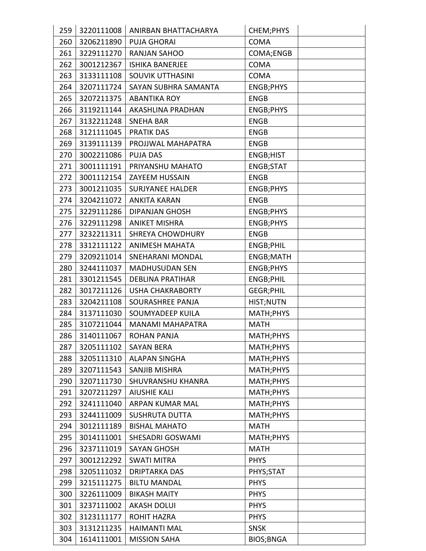| 259 | 3220111008 | ANIRBAN BHATTACHARYA    | CHEM; PHYS       |
|-----|------------|-------------------------|------------------|
| 260 | 3206211890 | <b>PUJA GHORAI</b>      | <b>COMA</b>      |
| 261 | 3229111270 | RANJAN SAHOO            | COMA;ENGB        |
| 262 | 3001212367 | <b>ISHIKA BANERJEE</b>  | <b>COMA</b>      |
| 263 | 3133111108 | SOUVIK UTTHASINI        | <b>COMA</b>      |
| 264 | 3207111724 | SAYAN SUBHRA SAMANTA    | ENGB;PHYS        |
| 265 | 3207211375 | <b>ABANTIKA ROY</b>     | <b>ENGB</b>      |
| 266 | 3119211144 | AKASHLINA PRADHAN       | ENGB;PHYS        |
| 267 | 3132211248 | <b>SNEHA BAR</b>        | <b>ENGB</b>      |
| 268 | 3121111045 | <b>PRATIK DAS</b>       | <b>ENGB</b>      |
| 269 | 3139111139 | PROJJWAL MAHAPATRA      | <b>ENGB</b>      |
| 270 | 3002211086 | <b>PUJA DAS</b>         | ENGB;HIST        |
| 271 | 3001111191 | PRIYANSHU MAHATO        | ENGB;STAT        |
| 272 | 3001112154 | <b>ZAYEEM HUSSAIN</b>   | <b>ENGB</b>      |
| 273 | 3001211035 | <b>SURJYANEE HALDER</b> | ENGB;PHYS        |
| 274 | 3204211072 | <b>ANKITA KARAN</b>     | <b>ENGB</b>      |
| 275 | 3229111286 | <b>DIPANJAN GHOSH</b>   | ENGB;PHYS        |
| 276 | 3229111298 | <b>ANIKET MISHRA</b>    | ENGB;PHYS        |
| 277 | 3232211311 | <b>SHREYA CHOWDHURY</b> | <b>ENGB</b>      |
| 278 | 3312111122 | <b>ANIMESH MAHATA</b>   | ENGB;PHIL        |
| 279 | 3209211014 | <b>SNEHARANI MONDAL</b> | ENGB;MATH        |
| 280 | 3244111037 | <b>MADHUSUDAN SEN</b>   | ENGB;PHYS        |
| 281 | 3301211545 | <b>DEBLINA PRATIHAR</b> | ENGB;PHIL        |
| 282 | 3017211126 | <b>USHA CHAKRABORTY</b> | <b>GEGR;PHIL</b> |
| 283 | 3204211108 | SOURASHREE PANJA        | HIST;NUTN        |
| 284 | 3137111030 | SOUMYADEEP KUILA        | MATH; PHYS       |
| 285 | 3107211044 | <b>MANAMI MAHAPATRA</b> | <b>MATH</b>      |
| 286 | 3140111067 | ROHAN PANJA             | MATH; PHYS       |
| 287 | 3205111102 | <b>SAYAN BERA</b>       | MATH; PHYS       |
| 288 | 3205111310 | <b>ALAPAN SINGHA</b>    | MATH; PHYS       |
| 289 | 3207111543 | <b>SANJIB MISHRA</b>    | MATH;PHYS        |
| 290 | 3207111730 | SHUVRANSHU KHANRA       | MATH; PHYS       |
| 291 | 3207211297 | <b>AIUSHIE KALI</b>     | MATH; PHYS       |
| 292 | 3241111040 | ARPAN KUMAR MAL         | MATH; PHYS       |
| 293 | 3244111009 | <b>SUSHRUTA DUTTA</b>   | MATH; PHYS       |
| 294 | 3012111189 | <b>BISHAL MAHATO</b>    | <b>MATH</b>      |
| 295 | 3014111001 | SHESADRI GOSWAMI        | MATH; PHYS       |
| 296 | 3237111019 | <b>SAYAN GHOSH</b>      | <b>MATH</b>      |
| 297 | 3001212292 | <b>SWATI MITRA</b>      | <b>PHYS</b>      |
| 298 | 3205111032 | <b>DRIPTARKA DAS</b>    | PHYS;STAT        |
| 299 | 3215111275 | <b>BILTU MANDAL</b>     | <b>PHYS</b>      |
| 300 | 3226111009 | <b>BIKASH MAITY</b>     | <b>PHYS</b>      |
| 301 | 3237111002 | <b>AKASH DOLUI</b>      | <b>PHYS</b>      |
| 302 | 3123111177 | <b>ROHIT HAZRA</b>      | <b>PHYS</b>      |
| 303 | 3131211235 | <b>HAIMANTI MAL</b>     | <b>SNSK</b>      |
| 304 | 1614111001 | <b>MISSION SAHA</b>     | <b>BIOS;BNGA</b> |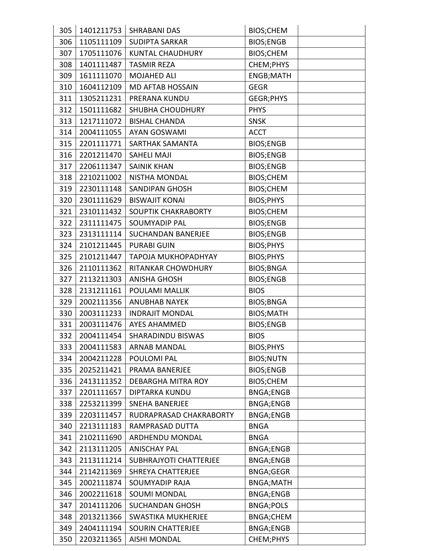| 305 | 1401211753 | <b>SHRABANI DAS</b>        | <b>BIOS;CHEM</b>  |  |
|-----|------------|----------------------------|-------------------|--|
| 306 | 1105111109 | <b>SUDIPTA SARKAR</b>      | <b>BIOS;ENGB</b>  |  |
| 307 | 1705111076 | <b>KUNTAL CHAUDHURY</b>    | <b>BIOS;CHEM</b>  |  |
| 308 | 1401111487 | <b>TASMIR REZA</b>         | CHEM; PHYS        |  |
| 309 | 1611111070 | <b>MOJAHED ALI</b>         | ENGB;MATH         |  |
| 310 | 1604112109 | <b>MD AFTAB HOSSAIN</b>    | <b>GEGR</b>       |  |
| 311 | 1305211231 | PRERANA KUNDU              | GEGR;PHYS         |  |
| 312 | 1501111682 | <b>SHUBHA CHOUDHURY</b>    | <b>PHYS</b>       |  |
| 313 | 1217111072 | <b>BISHAL CHANDA</b>       | <b>SNSK</b>       |  |
| 314 | 2004111055 | <b>AYAN GOSWAMI</b>        | <b>ACCT</b>       |  |
| 315 | 2201111771 | SARTHAK SAMANTA            | <b>BIOS;ENGB</b>  |  |
| 316 | 2201211470 | <b>SAHELI MAJI</b>         | <b>BIOS;ENGB</b>  |  |
| 317 | 2206111347 | <b>SAINIK KHAN</b>         | <b>BIOS;ENGB</b>  |  |
| 318 | 2210211002 | <b>NISTHA MONDAL</b>       | <b>BIOS;CHEM</b>  |  |
| 319 | 2230111148 | <b>SANDIPAN GHOSH</b>      | <b>BIOS;CHEM</b>  |  |
| 320 | 2301111629 | <b>BISWAJIT KONAI</b>      | <b>BIOS;PHYS</b>  |  |
| 321 | 2310111432 | SOUPTIK CHAKRABORTY        | <b>BIOS;CHEM</b>  |  |
| 322 | 2311111475 | <b>SOUMYADIP PAL</b>       | <b>BIOS;ENGB</b>  |  |
| 323 | 2313111114 | <b>SUCHANDAN BANERJEE</b>  | <b>BIOS;ENGB</b>  |  |
| 324 | 2101211445 | <b>PURABI GUIN</b>         | <b>BIOS;PHYS</b>  |  |
| 325 | 2101211447 | <b>TAPOJA MUKHOPADHYAY</b> | <b>BIOS;PHYS</b>  |  |
| 326 | 2110111362 | RITANKAR CHOWDHURY         | <b>BIOS;BNGA</b>  |  |
| 327 | 2113211303 | <b>ANISHA GHOSH</b>        | <b>BIOS;ENGB</b>  |  |
| 328 | 2131211161 | POULAMI MALLIK             | <b>BIOS</b>       |  |
| 329 | 2002111356 | <b>ANUBHAB NAYEK</b>       | <b>BIOS; BNGA</b> |  |
| 330 | 2003111233 | <b>INDRAJIT MONDAL</b>     | <b>BIOS;MATH</b>  |  |
| 331 | 2003111476 | <b>AYES AHAMMED</b>        | <b>BIOS;ENGB</b>  |  |
| 332 | 2004111454 | SHARADINDU BISWAS          | <b>BIOS</b>       |  |
| 333 | 2004111583 | <b>ARNAB MANDAL</b>        | BIOS; PHYS        |  |
| 334 | 2004211228 | POULOMI PAL                | <b>BIOS;NUTN</b>  |  |
| 335 | 2025211421 | PRAMA BANERJEE             | <b>BIOS;ENGB</b>  |  |
| 336 | 2413111352 | <b>DEBARGHA MITRA ROY</b>  | BIOS;CHEM         |  |
| 337 | 2201111657 | <b>DIPTARKA KUNDU</b>      | <b>BNGA;ENGB</b>  |  |
| 338 | 2253211399 | <b>SNEHA BANERJEE</b>      | <b>BNGA;ENGB</b>  |  |
| 339 | 2203111457 | RUDRAPRASAD CHAKRABORTY    | <b>BNGA;ENGB</b>  |  |
| 340 | 2213111183 | RAMPRASAD DUTTA            | <b>BNGA</b>       |  |
| 341 | 2102111690 | ARDHENDU MONDAL            | <b>BNGA</b>       |  |
| 342 | 2113111205 | <b>ANISCHAY PAL</b>        | <b>BNGA;ENGB</b>  |  |
| 343 | 2113111214 | SUBHRAJYOTI CHATTERJEE     | <b>BNGA;ENGB</b>  |  |
| 344 | 2114211369 | <b>SHREYA CHATTERJEE</b>   | <b>BNGA;GEGR</b>  |  |
| 345 | 2002111874 | <b>SOUMYADIP RAJA</b>      | BNGA;MATH         |  |
| 346 | 2002211618 | <b>SOUMI MONDAL</b>        | <b>BNGA;ENGB</b>  |  |
| 347 | 2014111206 | <b>SUCHANDAN GHOSH</b>     | <b>BNGA;POLS</b>  |  |
| 348 | 2013211366 | <b>SWASTIKA MUKHERJEE</b>  | <b>BNGA;CHEM</b>  |  |
| 349 | 2404111194 | <b>SOURIN CHATTERJEE</b>   | <b>BNGA;ENGB</b>  |  |
| 350 | 2203211365 | <b>AISHI MONDAL</b>        | CHEM; PHYS        |  |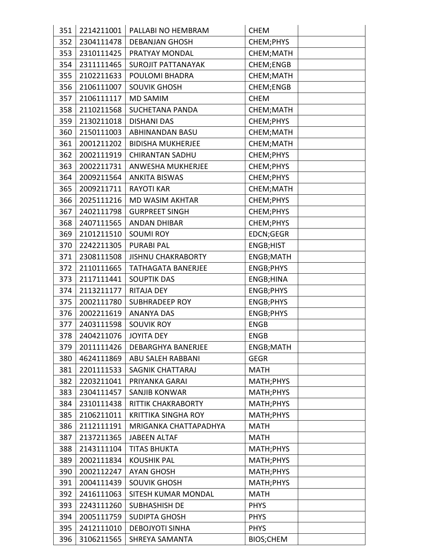| 351 | 2214211001 | PALLABI NO HEMBRAM         | <b>CHEM</b>      |  |
|-----|------------|----------------------------|------------------|--|
| 352 | 2304111478 | <b>DEBANJAN GHOSH</b>      | CHEM; PHYS       |  |
| 353 | 2310111425 | PRATYAY MONDAL             | CHEM; MATH       |  |
| 354 | 2311111465 | <b>SUROJIT PATTANAYAK</b>  | CHEM;ENGB        |  |
| 355 | 2102211633 | POULOMI BHADRA             | CHEM; MATH       |  |
| 356 | 2106111007 | <b>SOUVIK GHOSH</b>        | CHEM;ENGB        |  |
| 357 | 2106111117 | <b>MD SAMIM</b>            | <b>CHEM</b>      |  |
| 358 | 2110211568 | <b>SUCHETANA PANDA</b>     | CHEM; MATH       |  |
| 359 | 2130211018 | <b>DISHANI DAS</b>         | CHEM; PHYS       |  |
| 360 | 2150111003 | <b>ABHINANDAN BASU</b>     | CHEM; MATH       |  |
| 361 | 2001211202 | <b>BIDISHA MUKHERJEE</b>   | CHEM; MATH       |  |
| 362 | 2002111919 | <b>CHIRANTAN SADHU</b>     | CHEM; PHYS       |  |
| 363 | 2002211731 | ANWESHA MUKHERJEE          | CHEM; PHYS       |  |
| 364 | 2009211564 | <b>ANKITA BISWAS</b>       | CHEM; PHYS       |  |
| 365 | 2009211711 | <b>RAYOTI KAR</b>          | CHEM; MATH       |  |
| 366 | 2025111216 | <b>MD WASIM AKHTAR</b>     | CHEM; PHYS       |  |
| 367 | 2402111798 | <b>GURPREET SINGH</b>      | CHEM; PHYS       |  |
| 368 | 2407111565 | <b>ANDAN DHIBAR</b>        | CHEM; PHYS       |  |
| 369 | 2101211510 | <b>SOUMI ROY</b>           | EDCN;GEGR        |  |
| 370 | 2242211305 | <b>PURABI PAL</b>          | ENGB;HIST        |  |
| 371 | 2308111508 | <b>JISHNU CHAKRABORTY</b>  | ENGB;MATH        |  |
| 372 | 2110111665 | <b>TATHAGATA BANERJEE</b>  | <b>ENGB;PHYS</b> |  |
| 373 | 2117111441 | <b>SOUPTIK DAS</b>         | ENGB;HINA        |  |
| 374 | 2113211177 | <b>RITAJA DEY</b>          | <b>ENGB;PHYS</b> |  |
| 375 | 2002111780 | <b>SUBHRADEEP ROY</b>      | <b>ENGB;PHYS</b> |  |
| 376 | 2002211619 | <b>ANANYA DAS</b>          | ENGB;PHYS        |  |
| 377 | 2403111598 | <b>SOUVIK ROY</b>          | <b>ENGB</b>      |  |
| 378 | 2404211076 | <b>JOYITA DEY</b>          | ENGB             |  |
| 379 | 2011111426 | <b>DEBARGHYA BANERJEE</b>  | ENGB;MATH        |  |
| 380 | 4624111869 | ABU SALEH RABBANI          | <b>GEGR</b>      |  |
| 381 | 2201111533 | <b>SAGNIK CHATTARAJ</b>    | <b>MATH</b>      |  |
| 382 | 2203211041 | PRIYANKA GARAI             | MATH; PHYS       |  |
| 383 | 2304111457 | <b>SANJIB KONWAR</b>       | MATH; PHYS       |  |
| 384 | 2310111438 | <b>RITTIK CHAKRABORTY</b>  | MATH; PHYS       |  |
| 385 | 2106211011 | <b>KRITTIKA SINGHA ROY</b> | MATH; PHYS       |  |
| 386 | 2112111191 | MRIGANKA CHATTAPADHYA      | <b>MATH</b>      |  |
| 387 | 2137211365 | <b>JABEEN ALTAF</b>        | <b>MATH</b>      |  |
| 388 | 2143111104 | <b>TITAS BHUKTA</b>        | MATH; PHYS       |  |
| 389 | 2002111834 | <b>KOUSHIK PAL</b>         | MATH; PHYS       |  |
| 390 | 2002112247 | <b>AYAN GHOSH</b>          | MATH; PHYS       |  |
| 391 | 2004111439 | <b>SOUVIK GHOSH</b>        | MATH; PHYS       |  |
| 392 | 2416111063 | SITESH KUMAR MONDAL        | <b>MATH</b>      |  |
| 393 | 2243111260 | <b>SUBHASHISH DE</b>       | <b>PHYS</b>      |  |
| 394 | 2005111759 | <b>SUDIPTA GHOSH</b>       | <b>PHYS</b>      |  |
| 395 | 2412111010 | <b>DEBOJYOTI SINHA</b>     | <b>PHYS</b>      |  |
| 396 | 3106211565 | SHREYA SAMANTA             | BIOS;CHEM        |  |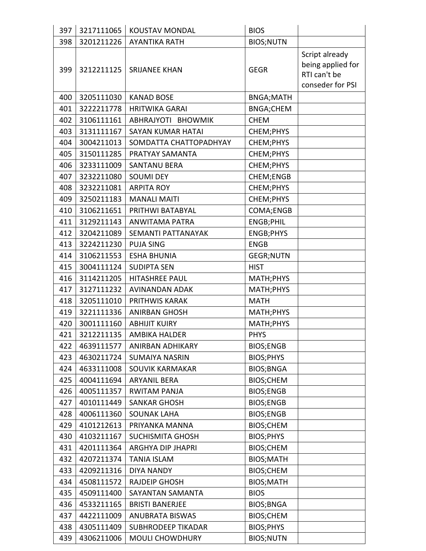| 397 | 3217111065 | <b>KOUSTAV MONDAL</b>    | <b>BIOS</b>       |                                                                         |
|-----|------------|--------------------------|-------------------|-------------------------------------------------------------------------|
| 398 | 3201211226 | <b>AYANTIKA RATH</b>     | <b>BIOS;NUTN</b>  |                                                                         |
| 399 | 3212211125 | <b>SRIJANEE KHAN</b>     | <b>GEGR</b>       | Script already<br>being applied for<br>RTI can't be<br>conseder for PSI |
| 400 | 3205111030 | <b>KANAD BOSE</b>        | <b>BNGA;MATH</b>  |                                                                         |
| 401 | 3222211778 | <b>HRITWIKA GARAI</b>    | <b>BNGA;CHEM</b>  |                                                                         |
| 402 | 3106111161 | ABHRAJYOTI BHOWMIK       | <b>CHEM</b>       |                                                                         |
| 403 | 3131111167 | <b>SAYAN KUMAR HATAI</b> | CHEM; PHYS        |                                                                         |
| 404 | 3004211013 | SOMDATTA CHATTOPADHYAY   | CHEM; PHYS        |                                                                         |
| 405 | 3150111285 | PRATYAY SAMANTA          | CHEM;PHYS         |                                                                         |
| 406 | 3233111009 | <b>SANTANU BERA</b>      | CHEM; PHYS        |                                                                         |
| 407 | 3232211080 | <b>SOUMI DEY</b>         | CHEM;ENGB         |                                                                         |
| 408 | 3232211081 | <b>ARPITA ROY</b>        | CHEM; PHYS        |                                                                         |
| 409 | 3250211183 | <b>MANALI MAITI</b>      | CHEM;PHYS         |                                                                         |
| 410 | 3106211651 | PRITHWI BATABYAL         | COMA;ENGB         |                                                                         |
| 411 | 3129211143 | <b>ANWITAMA PATRA</b>    | <b>ENGB;PHIL</b>  |                                                                         |
| 412 | 3204211089 | SEMANTI PATTANAYAK       | <b>ENGB;PHYS</b>  |                                                                         |
| 413 | 3224211230 | <b>PUJA SING</b>         | <b>ENGB</b>       |                                                                         |
| 414 | 3106211553 | <b>ESHA BHUNIA</b>       | <b>GEGR;NUTN</b>  |                                                                         |
| 415 | 3004111124 | <b>SUDIPTA SEN</b>       | <b>HIST</b>       |                                                                         |
| 416 | 3114211205 | <b>HITASHREE PAUL</b>    | MATH; PHYS        |                                                                         |
| 417 | 3127111232 | <b>AVINANDAN ADAK</b>    | MATH; PHYS        |                                                                         |
| 418 | 3205111010 | PRITHWIS KARAK           | <b>MATH</b>       |                                                                         |
| 419 | 3221111336 | <b>ANIRBAN GHOSH</b>     | MATH; PHYS        |                                                                         |
| 420 | 3001111160 | <b>ABHIJIT KUIRY</b>     | MATH; PHYS        |                                                                         |
| 421 | 3212211135 | AMBIKA HALDER            | <b>PHYS</b>       |                                                                         |
| 422 | 4639111577 | ANIRBAN ADHIKARY         | <b>BIOS;ENGB</b>  |                                                                         |
| 423 | 4630211724 | <b>SUMAIYA NASRIN</b>    | BIOS; PHYS        |                                                                         |
| 424 | 4633111008 | SOUVIK KARMAKAR          | <b>BIOS;BNGA</b>  |                                                                         |
| 425 | 4004111694 | <b>ARYANIL BERA</b>      | <b>BIOS;CHEM</b>  |                                                                         |
| 426 | 4005111357 | <b>RWITAM PANJA</b>      | <b>BIOS;ENGB</b>  |                                                                         |
| 427 | 4010111449 | <b>SANKAR GHOSH</b>      | <b>BIOS;ENGB</b>  |                                                                         |
| 428 | 4006111360 | <b>SOUNAK LAHA</b>       | <b>BIOS;ENGB</b>  |                                                                         |
| 429 | 4101212613 | PRIYANKA MANNA           | <b>BIOS;CHEM</b>  |                                                                         |
| 430 | 4103211167 | <b>SUCHISMITA GHOSH</b>  | BIOS; PHYS        |                                                                         |
| 431 | 4201111364 | ARGHYA DIP JHAPRI        | <b>BIOS;CHEM</b>  |                                                                         |
| 432 | 4207211374 | <b>TANIA ISLAM</b>       | <b>BIOS;MATH</b>  |                                                                         |
| 433 | 4209211316 | <b>DIYA NANDY</b>        | <b>BIOS;CHEM</b>  |                                                                         |
| 434 | 4508111572 | <b>RAJDEIP GHOSH</b>     | <b>BIOS;MATH</b>  |                                                                         |
| 435 | 4509111400 | SAYANTAN SAMANTA         | <b>BIOS</b>       |                                                                         |
| 436 | 4533211165 | <b>BRISTI BANERJEE</b>   | <b>BIOS; BNGA</b> |                                                                         |
| 437 | 4422111009 | ANUBRATA BISWAS          | BIOS;CHEM         |                                                                         |
| 438 | 4305111409 | SUBHRODEEP TIKADAR       | BIOS; PHYS        |                                                                         |
| 439 | 4306211006 | <b>MOULI CHOWDHURY</b>   | <b>BIOS;NUTN</b>  |                                                                         |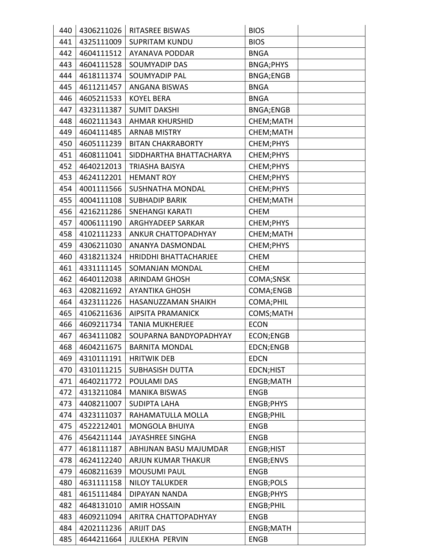| 440 | 4306211026 | <b>RITASREE BISWAS</b>   | <b>BIOS</b>      |
|-----|------------|--------------------------|------------------|
| 441 | 4325111009 | <b>SUPRITAM KUNDU</b>    | <b>BIOS</b>      |
| 442 | 4604111512 | <b>AYANAVA PODDAR</b>    | <b>BNGA</b>      |
| 443 | 4604111528 | <b>SOUMYADIP DAS</b>     | <b>BNGA;PHYS</b> |
| 444 | 4618111374 | <b>SOUMYADIP PAL</b>     | <b>BNGA;ENGB</b> |
| 445 | 4611211457 | <b>ANGANA BISWAS</b>     | <b>BNGA</b>      |
| 446 | 4605211533 | <b>KOYEL BERA</b>        | <b>BNGA</b>      |
| 447 | 4323111387 | <b>SUMIT DAKSHI</b>      | <b>BNGA;ENGB</b> |
| 448 | 4602111343 | <b>AHMAR KHURSHID</b>    | CHEM; MATH       |
| 449 | 4604111485 | <b>ARNAB MISTRY</b>      | CHEM; MATH       |
| 450 | 4605111239 | <b>BITAN CHAKRABORTY</b> | CHEM; PHYS       |
| 451 | 4608111041 | SIDDHARTHA BHATTACHARYA  | CHEM; PHYS       |
| 452 | 4640212013 | <b>TRIASHA BAISYA</b>    | CHEM; PHYS       |
| 453 | 4624112201 | <b>HEMANT ROY</b>        | CHEM; PHYS       |
| 454 | 4001111566 | SUSHNATHA MONDAL         | CHEM; PHYS       |
| 455 | 4004111108 | <b>SUBHADIP BARIK</b>    | CHEM; MATH       |
| 456 | 4216211286 | <b>SNEHANGI KARATI</b>   | <b>CHEM</b>      |
| 457 | 4006111190 | ARGHYADEEP SARKAR        | CHEM; PHYS       |
| 458 | 4102111233 | ANKUR CHATTOPADHYAY      | CHEM; MATH       |
| 459 | 4306211030 | ANANYA DASMONDAL         | CHEM; PHYS       |
| 460 | 4318211324 | HRIDDHI BHATTACHARJEE    | <b>CHEM</b>      |
| 461 | 4331111145 | SOMANJAN MONDAL          | <b>CHEM</b>      |
| 462 | 4640112038 | <b>ARINDAM GHOSH</b>     | COMA;SNSK        |
| 463 | 4208211692 | <b>AYANTIKA GHOSH</b>    | COMA;ENGB        |
| 464 | 4323111226 | HASANUZZAMAN SHAIKH      | COMA; PHIL       |
| 465 | 4106211636 | <b>AIPSITA PRAMANICK</b> | COMS;MATH        |
| 466 | 4609211734 | <b>TANIA MUKHERJEE</b>   | <b>ECON</b>      |
| 467 | 4634111082 | SOUPARNA BANDYOPADHYAY   | ECON;ENGB        |
| 468 | 4604211675 | <b>BARNITA MONDAL</b>    | EDCN;ENGB        |
| 469 | 4310111191 | <b>HRITWIK DEB</b>       | <b>EDCN</b>      |
| 470 | 4310111215 | <b>SUBHASISH DUTTA</b>   | EDCN;HIST        |
| 471 | 4640211772 | <b>POULAMI DAS</b>       | ENGB;MATH        |
| 472 | 4313211084 | <b>MANIKA BISWAS</b>     | <b>ENGB</b>      |
| 473 | 4408211007 | <b>SUDIPTA LAHA</b>      | ENGB;PHYS        |
| 474 | 4323111037 | RAHAMATULLA MOLLA        | ENGB;PHIL        |
| 475 | 4522212401 | <b>MONGOLA BHUIYA</b>    | <b>ENGB</b>      |
| 476 | 4564211144 | <b>JAYASHREE SINGHA</b>  | <b>ENGB</b>      |
| 477 | 4618111187 | ABHIJNAN BASU MAJUMDAR   | ENGB;HIST        |
| 478 | 4624112240 | ARJUN KUMAR THAKUR       | ENGB;ENVS        |
| 479 | 4608211639 | <b>MOUSUMI PAUL</b>      | <b>ENGB</b>      |
| 480 | 4631111158 | <b>NILOY TALUKDER</b>    | ENGB;POLS        |
| 481 | 4615111484 | DIPAYAN NANDA            | ENGB;PHYS        |
| 482 | 4648131010 | <b>AMIR HOSSAIN</b>      | ENGB;PHIL        |
| 483 | 4609211094 | ARITRA CHATTOPADHYAY     | <b>ENGB</b>      |
| 484 | 4202111236 | <b>ARIJIT DAS</b>        | ENGB;MATH        |
| 485 | 4644211664 | <b>JULEKHA PERVIN</b>    | <b>ENGB</b>      |